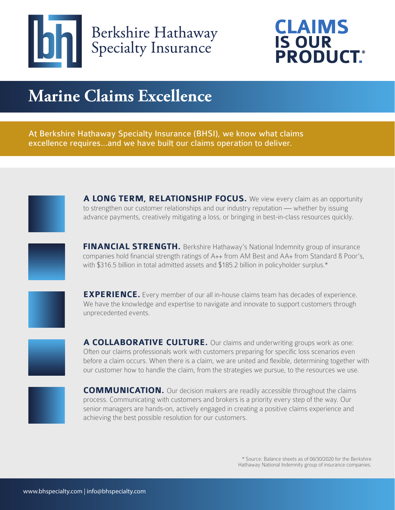

# Berkshire Hathaway<br>Specialty Insurance

## **CLAIMS IS OUR<br>PRODUCT.**

## **Marine Claims Excellence**

At Berkshire Hathaway Specialty Insurance (BHSI), we know what claims excellence requires...and we have built our claims operation to deliver.

A LONG TERM, RELATIONSHIP FOCUS. We view every claim as an opportunity to strengthen our customer relationships and our industry reputation — whether by issuing advance payments, creatively mitigating a loss, or bringing in best-in-class resources quickly.



**FINANCIAL STRENGTH.** Berkshire Hathaway's National Indemnity group of insurance companies hold financial strength ratings of A++ from AM Best and AA+ from Standard & Poor's, with \$316.5 billion in total admitted assets and \$185.2 billion in policyholder surplus.\*

**EXPERIENCE.** Every member of our all in-house claims team has decades of experience. We have the knowledge and expertise to navigate and innovate to support customers through unprecedented events.

**A COLLABORATIVE CULTURE.** Our claims and underwriting groups work as one: Often our claims professionals work with customers preparing for specific loss scenarios even before a claim occurs. When there is a claim, we are united and flexible, determining together with our customer how to handle the claim, from the strategies we pursue, to the resources we use.



**COMMUNICATION.** Our decision makers are readily accessible throughout the claims process. Communicating with customers and brokers is a priority every step of the way. Our senior managers are hands-on, actively engaged in creating a positive claims experience and achieving the best possible resolution for our customers.

> \* Source: Balance sheets as of 06/30/2020 for the Berkshire Hathaway National Indemnity group of insurance companies.